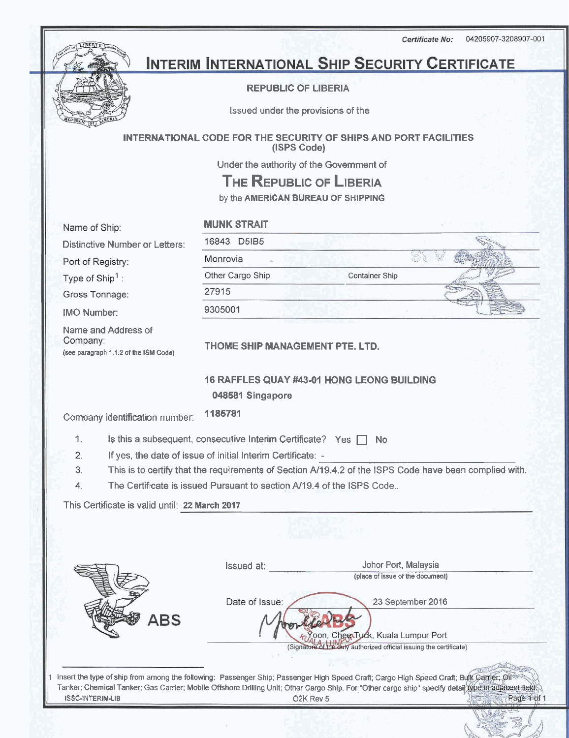04205907-3208907-001 Certificate No:



# **INTERIM INTERNATIONAL SHIP SECURITY CERTIFICATE**

#### REPUBLIC OF LIBERIA

Issued under the provisions of the

INTERNATIONAL CODE FOR THE SECURITY OF SHIPS AND PORT FACILITIES (ISPS Code)

Under the authority of the Government of

**THE** REPUBLIC OF **LIBERIA** 

by the AMERICAN BUREAU OF SHIPPING

Name of Ship:

MUNK STRAIT

Distinctive Number or Lette

Port of Registry:

Type of Ship<sup>1</sup>:

Gross Tonnage:

IMO Number:

Name and Address of<br>Company: **(see paragraph 1.1.2 of the** ISM Code)

| Container Ship |  |
|----------------|--|
|                |  |
|                |  |
|                |  |

THOME SHIP MANAGEMENT PTE. LTD.

### **16** RAFFLES QUAY **#43-01** HONG LEONG BUILDING **048581** Singapore

Company identification number: **1185781** 

1. Is this a subsequent, consecutive Interim Certificate? Yes  $\Box$  No

 $\mathcal{P}$ If yes, the date of issue of initial Interim Certificate: -

3. This is to certify that the requirements of Section **Af19.4.2** of the ISPS Code have been complied with.

 $\overline{4}$ . The Certificate is issued Pursuant to section **Af19.4** of the ISPS Code..

This Certificate is valid until: 22 March 2017

|     | <b>Issued at:</b> | Johor Port, Malaysia                                                                                                                   |
|-----|-------------------|----------------------------------------------------------------------------------------------------------------------------------------|
|     |                   | (place of issue of the document)                                                                                                       |
|     | Date of Issue:    | 23 September 2016                                                                                                                      |
| ABS |                   |                                                                                                                                        |
|     |                   | coon, CheexTuck, Kuala Lumpur Port                                                                                                     |
|     |                   | (Signature of the duly authorized official issuing the certificate)                                                                    |
|     |                   | Insert the type of ship from among the following: Passenger Ship; Passenger High Speed Craft; Cargo High Speed Craft; Bulk Camer; Oil® |

1 insert the **type** of ship from among the following: Passenger Ship: Passenger High Speed Crafl; Cargo High Speed Crafl; **B**  Tanker; Chemical Tanker; Gas Carrier; Mobile Offshore Drilling Unit; Other Cargo Ship. For "Other cargo ship" specify detail type in adjacent field ISSC-INTERIM-LIB 02K Rev 5 Page 1 of 1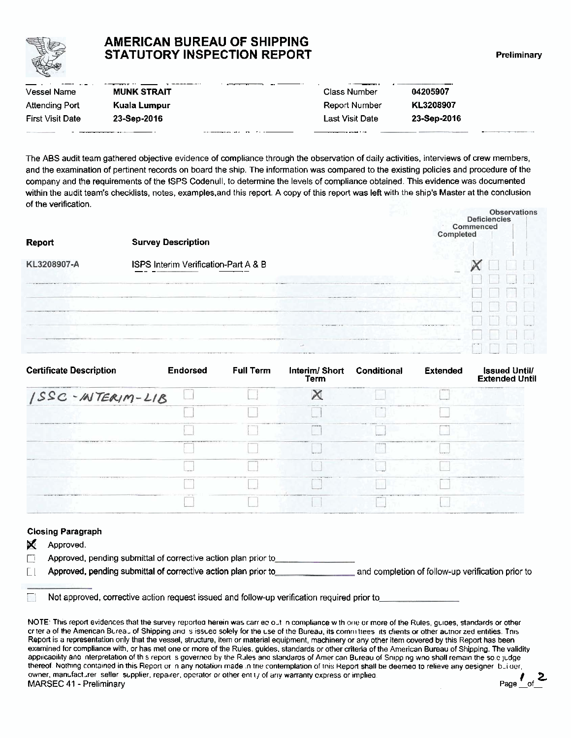

## **AMERICAN BUREAU OF SHIPPING STATUTORY INSPECTION REPORT Preliminary**

|                       | <b>AMERICAN BUREAU OF SHIPPING</b><br><b>STATUTORY INSPECTION REPORT</b> |                 |             |
|-----------------------|--------------------------------------------------------------------------|-----------------|-------------|
| <b>Vessel Name</b>    | <b>MUNK STRAIT</b>                                                       | Class Number    | 04205907    |
| <b>Attending Port</b> | Kuala Lumpur                                                             | Report Number   | KL3208907   |
|                       |                                                                          | Last Visit Date | 23-Sep-2016 |

The ABS audit team gathered objective evidence of compliance through the observation of daily activities, interviews of crew members, and the examination of pertinent records on board the ship. The information was compared to the existing policies and procedure of the company and the requirements of the ISPS Codenull, to determine the levels of compliance obtained. This evidence was documented within the audit team's checklists, notes, examples.and this report. A copy of this report was left with the ship's Master at the conclusion of the verification.

| Report      | <b>Survey Description</b>            |        | <b>Observations</b><br><b>Deficiencies</b><br>Commenced<br>Completed |  |  |  |
|-------------|--------------------------------------|--------|----------------------------------------------------------------------|--|--|--|
| KL3208907-A | ISPS Interim Verification-Part A & B |        |                                                                      |  |  |  |
|             |                                      |        |                                                                      |  |  |  |
|             |                                      |        |                                                                      |  |  |  |
|             |                                      |        | Ingeligens gehalten ergannen.                                        |  |  |  |
|             |                                      | in the |                                                                      |  |  |  |
|             |                                      |        |                                                                      |  |  |  |

| <b>Certificate Description</b>                         | <b>Endorsed</b>                        | <b>Full Term</b>          | Interim/Short Conditional<br>Term |                                                                                                              | <b>Extended</b>                                         | <b>Issued Untill</b><br><b>Extended Until</b>     |
|--------------------------------------------------------|----------------------------------------|---------------------------|-----------------------------------|--------------------------------------------------------------------------------------------------------------|---------------------------------------------------------|---------------------------------------------------|
| ISSC-INTERIM-LIB                                       |                                        |                           |                                   |                                                                                                              | <b>WORKS</b>                                            | Industrial and property are painted               |
|                                                        |                                        |                           | contractor in the contractor      | $-$                                                                                                          | paintings in a man want in                              |                                                   |
| THE TRESPONDED WAS CONTROLLED FOR THE                  |                                        | <b>CONTRACTOR COMPANY</b> | <b>APRILLER</b>                   | <b>Whether</b>                                                                                               |                                                         | <b>CONTINUES OF STREET</b>                        |
|                                                        | the property of provincial conditions. |                           | <b>March</b>                      | ----                                                                                                         | THE R. P. LEWIS CO., LANSING MICH.<br><b>Contractor</b> |                                                   |
|                                                        |                                        |                           |                                   |                                                                                                              |                                                         | <b>WARRANT AT AFT A STA.</b>                      |
| <b>STATISTICS</b> IN A 24 YO FEMALE                    |                                        |                           | <b>CONTINUES IN A 1979</b>        |                                                                                                              |                                                         | <b>CASTING EXPERIENCE TO THEFT COMMUNITY OF A</b> |
| proposition and proposition of the company of the con- |                                        |                           | compliant of academic services    | and the transport of the property of the control of the control of the control of the con-<br><b>CALLAST</b> |                                                         |                                                   |

#### Closing Paragraph

| ✕ | Approved.                                                      |                                                   |
|---|----------------------------------------------------------------|---------------------------------------------------|
|   | Approved, pending submittal of corrective action plan prior to |                                                   |
|   | Approved, pending submittal of corrective action plan prior to | and completion of follow-up verification prior to |

 $\Box$  Not approved. corrective action request issued and follow-up verification required prior to

NOTE: This report evidences that the survey reported herein was carr ec out in compliance with orie or more of the Rules, guides, standards or other cr ter a of the American Bureau of Shipping and is issued solely for the Lse of the Bureau, its committees ats clients or other author zed entities. This Report is a representation only that the vessel, structure, item or material equipment, machinery or any other item covered by this Report has been<br>examined for compliance with, or has met one or more of the Rules, guides, applicability and interpretation of this report is governed by the Rules and standards of American Bureau of Snipping who shall remain the solic judge thereof. Nothing contained in this Report or in any notation made in the contemplation of this Report shall be deemed to relieve any designer builder, owner, manufacturer seller supplier, repalrer, operator or other entity of any warranty express or implied.<br>MARSEC 41 - Preliminary **17 Carry 17 and 17 and 17 and 17 and 17 and 17 and 17 and 17 and 17 and 17 and 17 and 1** MARSEC 41 - Preliminary